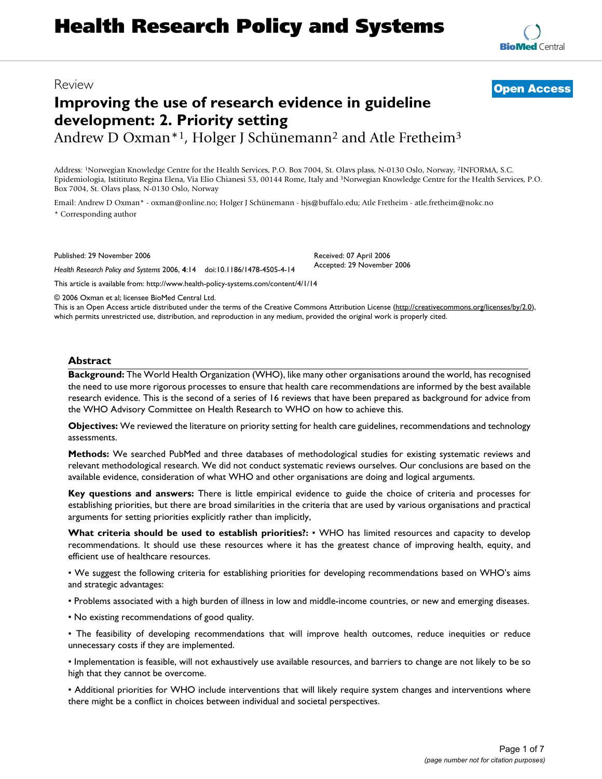# **Health Research Policy and Systems**

## **[Open Access](http://www.biomedcentral.com/info/about/charter/)** Review **Improving the use of research evidence in guideline development: 2. Priority setting** Andrew D Oxman\*1, Holger J Schünemann<sup>2</sup> and Atle Fretheim<sup>3</sup>

Address: 1Norwegian Knowledge Centre for the Health Services, P.O. Box 7004, St. Olavs plass, N-0130 Oslo, Norway, 2INFORMA, S.C. Epidemiologia, Istitituto Regina Elena, Via Elio Chianesi 53, 00144 Rome, Italy and 3Norwegian Knowledge Centre for the Health Services, P.O. Box 7004, St. Olavs plass, N-0130 Oslo, Norway

Email: Andrew D Oxman\* - oxman@online.no; Holger J Schünemann - hjs@buffalo.edu; Atle Fretheim - atle.fretheim@nokc.no \* Corresponding author

Published: 29 November 2006

*Health Research Policy and Systems* 2006, **4**:14 doi:10.1186/1478-4505-4-14

[This article is available from: http://www.health-policy-systems.com/content/4/1/14](http://www.health-policy-systems.com/content/4/1/14)

© 2006 Oxman et al; licensee BioMed Central Ltd.

This is an Open Access article distributed under the terms of the Creative Commons Attribution License [\(http://creativecommons.org/licenses/by/2.0\)](http://creativecommons.org/licenses/by/2.0), which permits unrestricted use, distribution, and reproduction in any medium, provided the original work is properly cited.

Received: 07 April 2006 Accepted: 29 November 2006

#### **Abstract**

**Background:** The World Health Organization (WHO), like many other organisations around the world, has recognised the need to use more rigorous processes to ensure that health care recommendations are informed by the best available research evidence. This is the second of a series of 16 reviews that have been prepared as background for advice from the WHO Advisory Committee on Health Research to WHO on how to achieve this.

**Objectives:** We reviewed the literature on priority setting for health care guidelines, recommendations and technology assessments.

**Methods:** We searched PubMed and three databases of methodological studies for existing systematic reviews and relevant methodological research. We did not conduct systematic reviews ourselves. Our conclusions are based on the available evidence, consideration of what WHO and other organisations are doing and logical arguments.

**Key questions and answers:** There is little empirical evidence to guide the choice of criteria and processes for establishing priorities, but there are broad similarities in the criteria that are used by various organisations and practical arguments for setting priorities explicitly rather than implicitly,

**What criteria should be used to establish priorities?:** • WHO has limited resources and capacity to develop recommendations. It should use these resources where it has the greatest chance of improving health, equity, and efficient use of healthcare resources.

• We suggest the following criteria for establishing priorities for developing recommendations based on WHO's aims and strategic advantages:

- Problems associated with a high burden of illness in low and middle-income countries, or new and emerging diseases.
- No existing recommendations of good quality.
- The feasibility of developing recommendations that will improve health outcomes, reduce inequities or reduce unnecessary costs if they are implemented.

• Implementation is feasible, will not exhaustively use available resources, and barriers to change are not likely to be so high that they cannot be overcome.

• Additional priorities for WHO include interventions that will likely require system changes and interventions where there might be a conflict in choices between individual and societal perspectives.

> Page 1 of 7 *(page number not for citation purposes)*



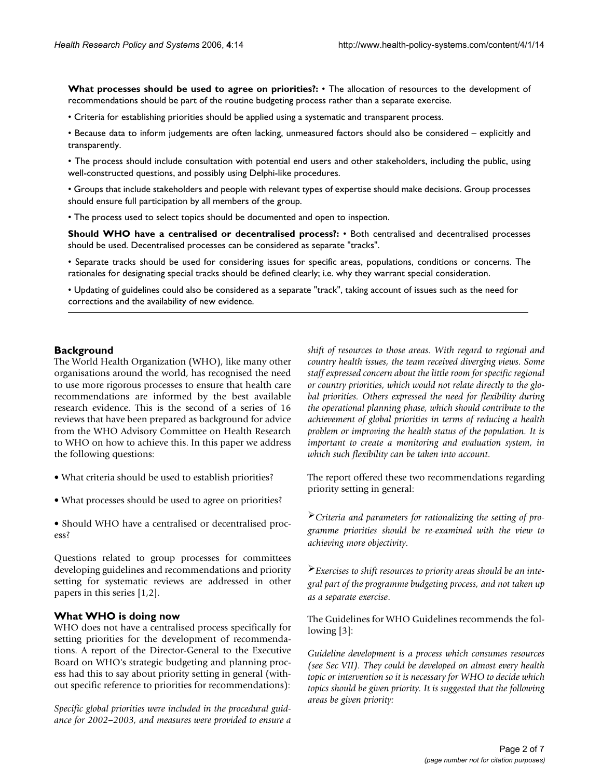**What processes should be used to agree on priorities?:** • The allocation of resources to the development of recommendations should be part of the routine budgeting process rather than a separate exercise.

- Criteria for establishing priorities should be applied using a systematic and transparent process.
- Because data to inform judgements are often lacking, unmeasured factors should also be considered explicitly and transparently.
- The process should include consultation with potential end users and other stakeholders, including the public, using well-constructed questions, and possibly using Delphi-like procedures.
- Groups that include stakeholders and people with relevant types of expertise should make decisions. Group processes should ensure full participation by all members of the group.
- The process used to select topics should be documented and open to inspection.

**Should WHO have a centralised or decentralised process?:** • Both centralised and decentralised processes should be used. Decentralised processes can be considered as separate "tracks".

• Separate tracks should be used for considering issues for specific areas, populations, conditions or concerns. The rationales for designating special tracks should be defined clearly; i.e. why they warrant special consideration.

• Updating of guidelines could also be considered as a separate "track", taking account of issues such as the need for corrections and the availability of new evidence.

#### **Background**

The World Health Organization (WHO), like many other organisations around the world, has recognised the need to use more rigorous processes to ensure that health care recommendations are informed by the best available research evidence. This is the second of a series of 16 reviews that have been prepared as background for advice from the WHO Advisory Committee on Health Research to WHO on how to achieve this. In this paper we address the following questions:

- What criteria should be used to establish priorities?
- What processes should be used to agree on priorities?

• Should WHO have a centralised or decentralised process?

Questions related to group processes for committees developing guidelines and recommendations and priority setting for systematic reviews are addressed in other papers in this series [1,2].

#### **What WHO is doing now**

WHO does not have a centralised process specifically for setting priorities for the development of recommendations. A report of the Director-General to the Executive Board on WHO's strategic budgeting and planning process had this to say about priority setting in general (without specific reference to priorities for recommendations):

*Specific global priorities were included in the procedural guidance for 2002–2003, and measures were provided to ensure a* *shift of resources to those areas. With regard to regional and country health issues, the team received diverging views. Some staff expressed concern about the little room for specific regional or country priorities, which would not relate directly to the global priorities. Others expressed the need for flexibility during the operational planning phase, which should contribute to the achievement of global priorities in terms of reducing a health problem or improving the health status of the population. It is important to create a monitoring and evaluation system, in which such flexibility can be taken into account*.

The report offered these two recommendations regarding priority setting in general:

*Criteria and parameters for rationalizing the setting of pro-*¾ *gramme priorities should be re-examined with the view to achieving more objectivity*.

*Exercises to shift resources to priority areas should be an inte-*¾*gral part of the programme budgeting process, and not taken up as a separate exercise*.

The Guidelines for WHO Guidelines recommends the following [3]:

*Guideline development is a process which consumes resources (see Sec VII). They could be developed on almost every health topic or intervention so it is necessary for WHO to decide which topics should be given priority. It is suggested that the following areas be given priority:*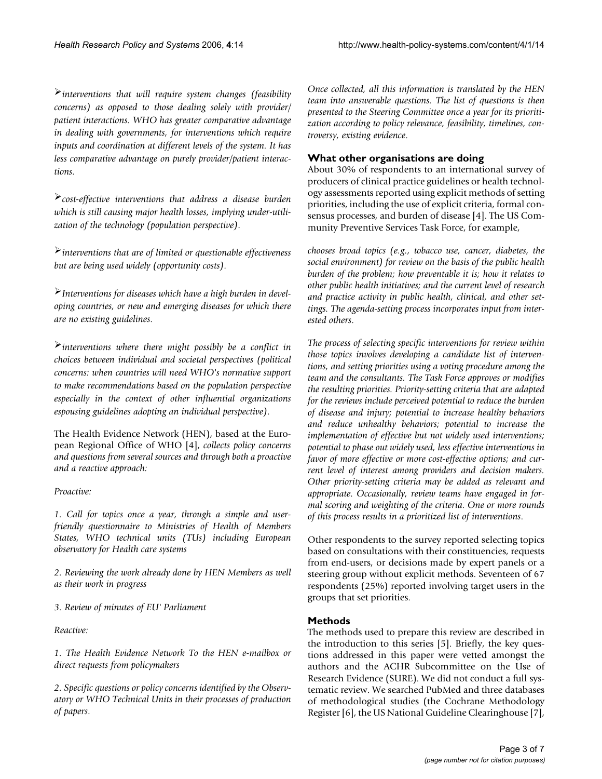*interventions that will require system changes (feasibility* ¾ *concerns) as opposed to those dealing solely with provider/ patient interactions. WHO has greater comparative advantage in dealing with governments, for interventions which require inputs and coordination at different levels of the system. It has less comparative advantage on purely provider/patient interactions*.

*cost-effective interventions that address a disease burden* ¾ *which is still causing major health losses, implying under-utilization of the technology (population perspective)*.

 $\triangleright$  interventions that are of limited or questionable effectiveness *but are being used widely (opportunity costs)*.

*Interventions for diseases which have a high burden in devel-*¾ *oping countries, or new and emerging diseases for which there are no existing guidelines*.

*interventions where there might possibly be a conflict in* ¾*choices between individual and societal perspectives (political concerns: when countries will need WHO's normative support to make recommendations based on the population perspective especially in the context of other influential organizations espousing guidelines adopting an individual perspective)*.

The Health Evidence Network (HEN), based at the European Regional Office of WHO [4], *collects policy concerns and questions from several sources and through both a proactive and a reactive approach:*

*Proactive:*

*1. Call for topics once a year, through a simple and userfriendly questionnaire to Ministries of Health of Members States, WHO technical units (TUs) including European observatory for Health care systems*

*2. Reviewing the work already done by HEN Members as well as their work in progress*

*3. Review of minutes of EU' Parliament*

*Reactive:*

*1. The Health Evidence Network To the HEN e-mailbox or direct requests from policymakers*

*2. Specific questions or policy concerns identified by the Observatory or WHO Technical Units in their processes of production of papers*.

*Once collected, all this information is translated by the HEN team into answerable questions. The list of questions is then presented to the Steering Committee once a year for its prioritization according to policy relevance, feasibility, timelines, controversy, existing evidence*.

#### **What other organisations are doing**

About 30% of respondents to an international survey of producers of clinical practice guidelines or health technology assessments reported using explicit methods of setting priorities, including the use of explicit criteria, formal consensus processes, and burden of disease [4]. The US Community Preventive Services Task Force, for example,

*chooses broad topics (e.g., tobacco use, cancer, diabetes, the social environment) for review on the basis of the public health burden of the problem; how preventable it is; how it relates to other public health initiatives; and the current level of research and practice activity in public health, clinical, and other settings. The agenda-setting process incorporates input from interested others*.

*The process of selecting specific interventions for review within those topics involves developing a candidate list of interventions, and setting priorities using a voting procedure among the team and the consultants. The Task Force approves or modifies the resulting priorities. Priority-setting criteria that are adapted for the reviews include perceived potential to reduce the burden of disease and injury; potential to increase healthy behaviors and reduce unhealthy behaviors; potential to increase the implementation of effective but not widely used interventions; potential to phase out widely used, less effective interventions in favor of more effective or more cost-effective options; and current level of interest among providers and decision makers. Other priority-setting criteria may be added as relevant and appropriate. Occasionally, review teams have engaged in formal scoring and weighting of the criteria. One or more rounds of this process results in a prioritized list of interventions*.

Other respondents to the survey reported selecting topics based on consultations with their constituencies, requests from end-users, or decisions made by expert panels or a steering group without explicit methods. Seventeen of 67 respondents (25%) reported involving target users in the groups that set priorities.

#### **Methods**

The methods used to prepare this review are described in the introduction to this series [5]. Briefly, the key questions addressed in this paper were vetted amongst the authors and the ACHR Subcommittee on the Use of Research Evidence (SURE). We did not conduct a full systematic review. We searched PubMed and three databases of methodological studies (the Cochrane Methodology Register [6], the US National Guideline Clearinghouse [7],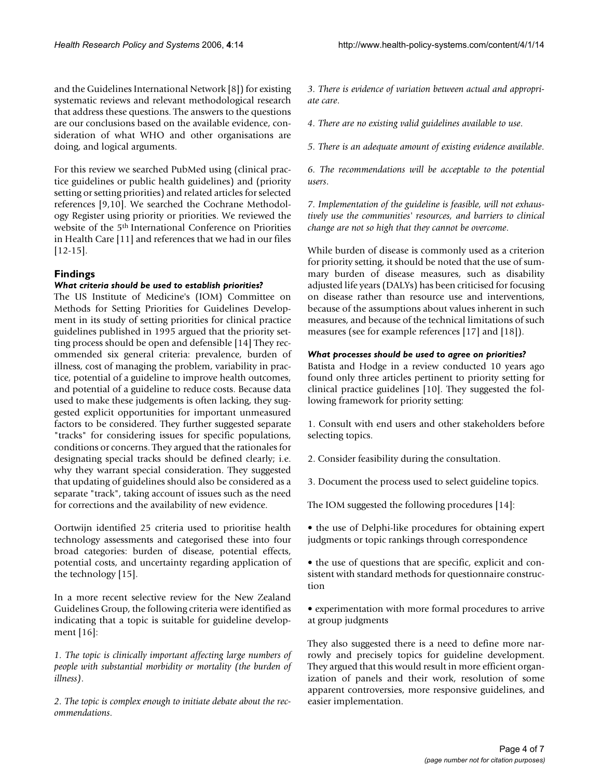and the Guidelines International Network [8]) for existing systematic reviews and relevant methodological research that address these questions. The answers to the questions are our conclusions based on the available evidence, consideration of what WHO and other organisations are doing, and logical arguments.

For this review we searched PubMed using (clinical practice guidelines or public health guidelines) and (priority setting or setting priorities) and related articles for selected references [9,10]. We searched the Cochrane Methodology Register using priority or priorities. We reviewed the website of the 5th International Conference on Priorities in Health Care [11] and references that we had in our files [12-15].

### **Findings**

#### *What criteria should be used to establish priorities?*

The US Institute of Medicine's (IOM) Committee on Methods for Setting Priorities for Guidelines Development in its study of setting priorities for clinical practice guidelines published in 1995 argued that the priority setting process should be open and defensible [14] They recommended six general criteria: prevalence, burden of illness, cost of managing the problem, variability in practice, potential of a guideline to improve health outcomes, and potential of a guideline to reduce costs. Because data used to make these judgements is often lacking, they suggested explicit opportunities for important unmeasured factors to be considered. They further suggested separate "tracks" for considering issues for specific populations, conditions or concerns. They argued that the rationales for designating special tracks should be defined clearly; i.e. why they warrant special consideration. They suggested that updating of guidelines should also be considered as a separate "track", taking account of issues such as the need for corrections and the availability of new evidence.

Oortwijn identified 25 criteria used to prioritise health technology assessments and categorised these into four broad categories: burden of disease, potential effects, potential costs, and uncertainty regarding application of the technology [15].

In a more recent selective review for the New Zealand Guidelines Group, the following criteria were identified as indicating that a topic is suitable for guideline development [16]:

*1. The topic is clinically important affecting large numbers of people with substantial morbidity or mortality (the burden of illness)*.

*2. The topic is complex enough to initiate debate about the recommendations*.

*3. There is evidence of variation between actual and appropriate care*.

*4. There are no existing valid guidelines available to use*.

*5. There is an adequate amount of existing evidence available*.

*6. The recommendations will be acceptable to the potential users*.

*7. Implementation of the guideline is feasible, will not exhaustively use the communities' resources, and barriers to clinical change are not so high that they cannot be overcome*.

While burden of disease is commonly used as a criterion for priority setting, it should be noted that the use of summary burden of disease measures, such as disability adjusted life years (DALYs) has been criticised for focusing on disease rather than resource use and interventions, because of the assumptions about values inherent in such measures, and because of the technical limitations of such measures (see for example references [17] and [18]).

#### *What processes should be used to agree on priorities?*

Batista and Hodge in a review conducted 10 years ago found only three articles pertinent to priority setting for clinical practice guidelines [10]. They suggested the following framework for priority setting:

1. Consult with end users and other stakeholders before selecting topics.

2. Consider feasibility during the consultation.

3. Document the process used to select guideline topics.

The IOM suggested the following procedures [14]:

• the use of Delphi-like procedures for obtaining expert judgments or topic rankings through correspondence

• the use of questions that are specific, explicit and consistent with standard methods for questionnaire construction

• experimentation with more formal procedures to arrive at group judgments

They also suggested there is a need to define more narrowly and precisely topics for guideline development. They argued that this would result in more efficient organization of panels and their work, resolution of some apparent controversies, more responsive guidelines, and easier implementation.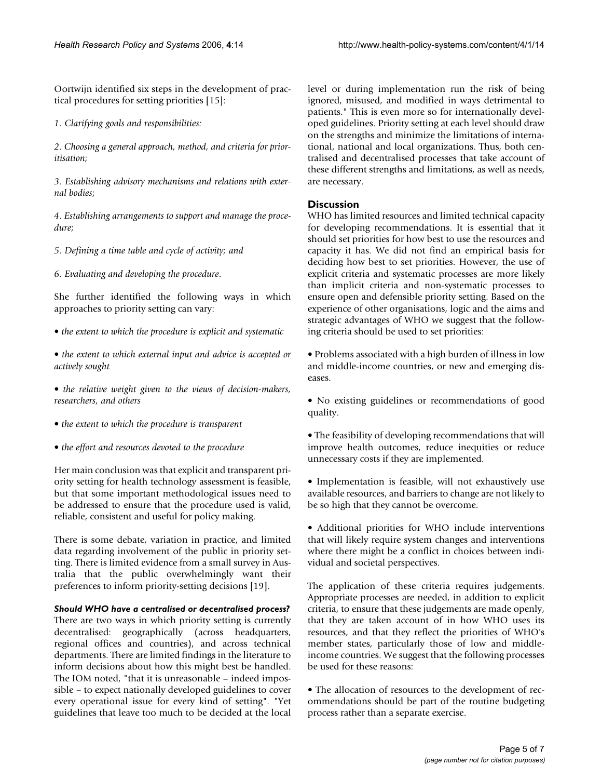Oortwijn identified six steps in the development of practical procedures for setting priorities [15]:

*1. Clarifying goals and responsibilities:*

*2. Choosing a general approach, method, and criteria for prioritisation*;

*3. Establishing advisory mechanisms and relations with external bodies*;

*4. Establishing arrangements to support and manage the procedure*;

- *5. Defining a time table and cycle of activity; and*
- *6. Evaluating and developing the procedure*.

She further identified the following ways in which approaches to priority setting can vary:

- *the extent to which the procedure is explicit and systematic*
- *the extent to which external input and advice is accepted or actively sought*
- *the relative weight given to the views of decision-makers, researchers, and others*
- *the extent to which the procedure is transparent*
- *the effort and resources devoted to the procedure*

Her main conclusion was that explicit and transparent priority setting for health technology assessment is feasible, but that some important methodological issues need to be addressed to ensure that the procedure used is valid, reliable, consistent and useful for policy making.

There is some debate, variation in practice, and limited data regarding involvement of the public in priority setting. There is limited evidence from a small survey in Australia that the public overwhelmingly want their preferences to inform priority-setting decisions [19].

*Should WHO have a centralised or decentralised process?* There are two ways in which priority setting is currently decentralised: geographically (across headquarters, regional offices and countries), and across technical departments. There are limited findings in the literature to inform decisions about how this might best be handled. The IOM noted, "that it is unreasonable – indeed impossible – to expect nationally developed guidelines to cover every operational issue for every kind of setting". "Yet guidelines that leave too much to be decided at the local

level or during implementation run the risk of being ignored, misused, and modified in ways detrimental to patients." This is even more so for internationally developed guidelines. Priority setting at each level should draw on the strengths and minimize the limitations of international, national and local organizations. Thus, both centralised and decentralised processes that take account of these different strengths and limitations, as well as needs, are necessary.

#### **Discussion**

WHO has limited resources and limited technical capacity for developing recommendations. It is essential that it should set priorities for how best to use the resources and capacity it has. We did not find an empirical basis for deciding how best to set priorities. However, the use of explicit criteria and systematic processes are more likely than implicit criteria and non-systematic processes to ensure open and defensible priority setting. Based on the experience of other organisations, logic and the aims and strategic advantages of WHO we suggest that the following criteria should be used to set priorities:

• Problems associated with a high burden of illness in low and middle-income countries, or new and emerging diseases.

• No existing guidelines or recommendations of good quality.

• The feasibility of developing recommendations that will improve health outcomes, reduce inequities or reduce unnecessary costs if they are implemented.

• Implementation is feasible, will not exhaustively use available resources, and barriers to change are not likely to be so high that they cannot be overcome.

• Additional priorities for WHO include interventions that will likely require system changes and interventions where there might be a conflict in choices between individual and societal perspectives.

The application of these criteria requires judgements. Appropriate processes are needed, in addition to explicit criteria, to ensure that these judgements are made openly, that they are taken account of in how WHO uses its resources, and that they reflect the priorities of WHO's member states, particularly those of low and middleincome countries. We suggest that the following processes be used for these reasons:

• The allocation of resources to the development of recommendations should be part of the routine budgeting process rather than a separate exercise.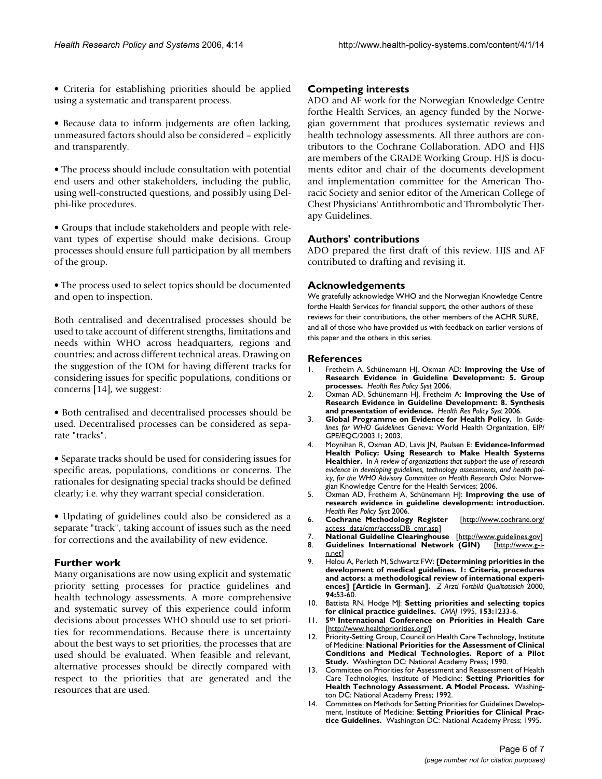• Criteria for establishing priorities should be applied using a systematic and transparent process.

• Because data to inform judgements are often lacking, unmeasured factors should also be considered – explicitly and transparently.

• The process should include consultation with potential end users and other stakeholders, including the public, using well-constructed questions, and possibly using Delphi-like procedures.

• Groups that include stakeholders and people with relevant types of expertise should make decisions. Group processes should ensure full participation by all members of the group.

• The process used to select topics should be documented and open to inspection.

Both centralised and decentralised processes should be used to take account of different strengths, limitations and needs within WHO across headquarters, regions and countries; and across different technical areas. Drawing on the suggestion of the IOM for having different tracks for considering issues for specific populations, conditions or concerns [14], we suggest:

• Both centralised and decentralised processes should be used. Decentralised processes can be considered as separate "tracks".

• Separate tracks should be used for considering issues for specific areas, populations, conditions or concerns. The rationales for designating special tracks should be defined clearly; i.e. why they warrant special consideration.

• Updating of guidelines could also be considered as a separate "track", taking account of issues such as the need for corrections and the availability of new evidence.

#### **Further work**

Many organisations are now using explicit and systematic priority setting processes for practice guidelines and health technology assessments. A more comprehensive and systematic survey of this experience could inform decisions about processes WHO should use to set priorities for recommendations. Because there is uncertainty about the best ways to set priorities, the processes that are used should be evaluated. When feasible and relevant, alternative processes should be directly compared with respect to the priorities that are generated and the resources that are used.

#### **Competing interests**

ADO and AF work for the Norwegian Knowledge Centre forthe Health Services, an agency funded by the Norwegian government that produces systematic reviews and health technology assessments. All three authors are contributors to the Cochrane Collaboration. ADO and HJS are members of the GRADE Working Group. HJS is documents editor and chair of the documents development and implementation committee for the American Thoracic Society and senior editor of the American College of Chest Physicians' Antithrombotic and Thrombolytic Therapy Guidelines.

#### **Authors' contributions**

ADO prepared the first draft of this review. HJS and AF contributed to drafting and revising it.

#### **Acknowledgements**

We gratefully acknowledge WHO and the Norwegian Knowledge Centre forthe Health Services for financial support, the other authors of these reviews for their contributions, the other members of the ACHR SURE, and all of those who have provided us with feedback on earlier versions of this paper and the others in this series.

#### **References**

- 1. Fretheim A, Schünemann HJ, Oxman AD: **Improving the Use of Research Evidence in Guideline Development: 5. Group processes.** *Health Res Policy Syst* 2006.
- 2. Oxman AD, Schünemann HJ, Fretheim A: **Improving the Use of Research Evidence in Guideline Development: 8. Synthesis and presentation of evidence.** *Health Res Policy Syst* 2006.
- 3. **Global Programme on Evidence for Health Policy.** In *Guidelines for WHO Guidelines* Geneva: World Health Organization, EIP/ GPE/EQC/2003.1; 2003.
- 4. Moynihan R, Oxman AD, Lavis JN, Paulsen E: **Evidence-Informed Health Policy: Using Research to Make Health Systems Healthier.** In *A review of organizations that support the use of research evidence in developing guidelines, technology assessments, and health policy, for the WHO Advisory Committee on Health Research* Oslo: Norwegian Knowledge Centre for the Health Services; 2006.
- 5. Oxman AD, Fretheim A, Schünemann HJ: **Improving the use of research evidence in guideline development: introduction.** *Health Res Policy Syst* 2006.
- 6. **Cochrane Methodology Register** [[http://www.cochrane.org/](http://www.cochrane.org/access_data/cmr/accessDB_cmr.asp) [access\\_data/cmr/accessDB\\_cmr.asp](http://www.cochrane.org/access_data/cmr/accessDB_cmr.asp)]
- 7. National Guideline Clearinghouse [[http://www.guidelines.gov\]](http://www.guidelines.gov)<br>8. Guidelines International Network (GIN) [http://www.g-i-
- **Guidelines International Network (GIN)** [n.net](http://www.g-i-n.net)]
- 9. Helou A, Perleth M, Schwartz FW: **[\[Determining priorities in the](http://www.ncbi.nlm.nih.gov/entrez/query.fcgi?cmd=Retrieve&db=PubMed&dopt=Abstract&list_uids=10721165) development of medical guidelines. 1: Criteria, procedures [and actors: a methodological review of international experi](http://www.ncbi.nlm.nih.gov/entrez/query.fcgi?cmd=Retrieve&db=PubMed&dopt=Abstract&list_uids=10721165)[ences\] \[Article in German\].](http://www.ncbi.nlm.nih.gov/entrez/query.fcgi?cmd=Retrieve&db=PubMed&dopt=Abstract&list_uids=10721165)** *Z Arztl Fortbild Qualitatssich* 2000, **94:**53-60.
- 10. Battista RN, Hodge MJ: **[Setting priorities and selecting topics](http://www.ncbi.nlm.nih.gov/entrez/query.fcgi?cmd=Retrieve&db=PubMed&dopt=Abstract&list_uids=7497385) [for clinical practice guidelines.](http://www.ncbi.nlm.nih.gov/entrez/query.fcgi?cmd=Retrieve&db=PubMed&dopt=Abstract&list_uids=7497385)** *CMAJ* 1995, **153:**1233-6.
- 11. **5th International Conference on Priorities in Health Care** [[http://www.healthpriorities.org/\]](http://www.healthpriorities.org/)
- 12. Priority-Setting Group, Council on Health Care Technology, Institute of Medicine: **National Priorities for the Assessment of Clinical Conditions and Medical Technologies. Report of a Pilot Study.** Washington DC: National Academy Press; 1990.
- 13. Committee on Priorities for Assessment and Reassessment of Health Care Technologies, Institute of Medicine: **Setting Priorities for Health Technology Assessment. A Model Process.** Washington DC: National Academy Press; 1992.
- 14. Committee on Methods for Setting Priorities for Guidelines Development, Institute of Medicine: **Setting Priorities for Clinical Practice Guidelines.** Washington DC: National Academy Press; 1995.